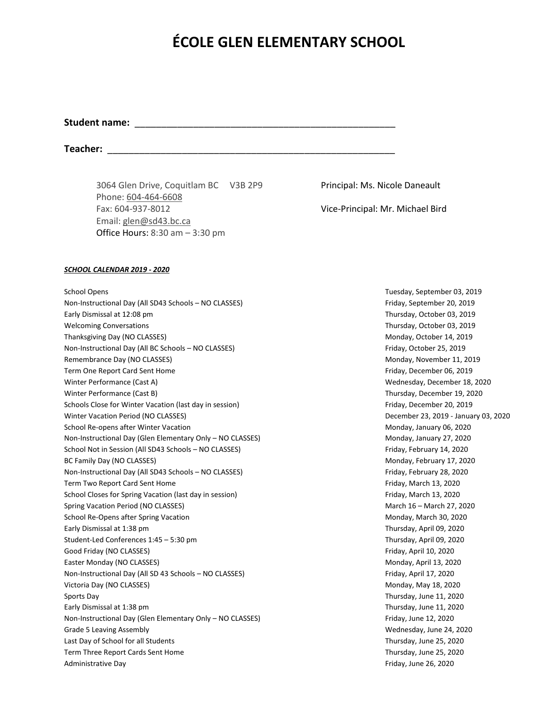# **ÉCOLE GLEN ELEMENTARY SCHOOL**

### Student name:

**Teacher:** \_\_\_\_\_\_\_\_\_\_\_\_\_\_\_\_\_\_\_\_\_\_\_\_\_\_\_\_\_\_\_\_\_\_\_\_\_\_\_\_\_\_\_\_\_\_\_\_\_\_\_\_\_\_

3064 Glen Drive, Coquitlam BC V3B 2P9 Principal: Ms. Nicole Daneault Phone: [604-464-6608](tel:604-464-6608) Fax: 604-937-8012 Vice-Principal: Mr. Michael Bird Email: [glen@sd43.bc.ca](mailto:glen@sd43.bc.ca) Office Hours: 8:30 am – 3:30 pm

#### *SCHOOL CALENDAR 2019 - 2020*

School Opens Tuesday, September 03, 2019 Non-Instructional Day (All SD43 Schools – NO CLASSES) Friday, September 20, 2019 Early Dismissal at 12:08 pm Thursday, October 03, 2019 Welcoming Conversations **Thursday, October 03, 2019** Thursday, October 03, 2019 Thanksgiving Day (NO CLASSES) and the state of the state of the state of the Monday, October 14, 2019 Non-Instructional Day (All BC Schools – NO CLASSES) Friday, October 25, 2019 Remembrance Day (NO CLASSES) and the matrix of the matrix of the matrix of the Monday, November 11, 2019 Term One Report Card Sent Home Friday, December 06, 2019 Winter Performance (Cast A) and the Cast A control of the Cast A control of the Wednesday, December 18, 2020 Winter Performance (Cast B) and the Cast of the Cast B and the Cast B and the Cast B and the Cast B and the Cast B and the Cast B and the Cast B and the Cast B and the Cast B and the Cast B and the Cast B and the Cast B an Schools Close for Winter Vacation (last day in session) Friday, December 20, 2019 Winter Vacation Period (NO CLASSES) December 23, 2019 - January 03, 2020 School Re-opens after Winter Vacation Monday, January 06, 2020 Non-Instructional Day (Glen Elementary Only – NO CLASSES) Monday, January 27, 2020 School Not in Session (All SD43 Schools – NO CLASSES) Friday, February 14, 2020 BC Family Day (NO CLASSES) **Monday, February 17, 2020** Non-Instructional Day (All SD43 Schools – NO CLASSES) Friday, February 28, 2020 Term Two Report Card Sent Home Friday, March 13, 2020 School Closes for Spring Vacation (last day in session) Friday, March 13, 2020 Spring Vacation Period (NO CLASSES) March 16 – March 16 – March 16 – March 27, 2020 School Re-Opens after Spring Vacation Monday, March 30, 2020 Early Dismissal at 1:38 pm Thursday, April 09, 2020 Student-Led Conferences 1:45 – 5:30 pm Thursday, April 09, 2020 Good Friday (NO CLASSES) **Friday, April 10, 2020** Easter Monday (NO CLASSES) and the state of the state of the state of the Monday, April 13, 2020 Non-Instructional Day (All SD 43 Schools – NO CLASSES) Friday, April 17, 2020 Victoria Day (NO CLASSES) **Monday, May 18, 2020** Sports Day Thursday, June 11, 2020 Early Dismissal at 1:38 pm Thursday, June 11, 2020 Non-Instructional Day (Glen Elementary Only - NO CLASSES) Friday, June 12, 2020 Grade 5 Leaving Assembly **State Assembly** and the state of the state of the state of the State of the State of the State of the State of the State of the State of the State of the State of the State of the State of the Sta Last Day of School for all Students Thursday, June 25, 2020 Term Three Report Cards Sent Home Thursday, June 25, 2020 Administrative Day **Friday, June 26, 2020**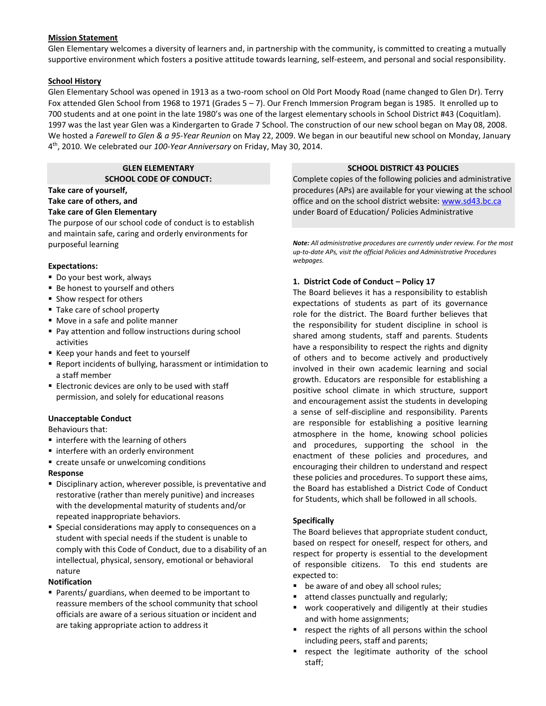## **Mission Statement**

Glen Elementary welcomes a diversity of learners and, in partnership with the community, is committed to creating a mutually supportive environment which fosters a positive attitude towards learning, self-esteem, and personal and social responsibility.

## **School History**

Glen Elementary School was opened in 1913 as a two-room school on Old Port Moody Road (name changed to Glen Dr). Terry Fox attended Glen School from 1968 to 1971 (Grades 5 – 7). Our French Immersion Program began is 1985. It enrolled up to 700 students and at one point in the late 1980's was one of the largest elementary schools in School District #43 (Coquitlam). 1997 was the last year Glen was a Kindergarten to Grade 7 School. The construction of our new school began on May 08, 2008. We hosted a *Farewell to Glen & a 95-Year Reunion* on May 22, 2009. We began in our beautiful new school on Monday, January 4 th , 2010. We celebrated our *100-Year Anniversary* on Friday, May 30, 2014.

> **GLEN ELEMENTARY SCHOOL CODE OF CONDUCT:**

## **Take care of yourself, Take care of others, and**

**Take care of Glen Elementary** The purpose of our school code of conduct is to establish

and maintain safe, caring and orderly environments for purposeful learning

## **Expectations:**

- Do your best work, always
- Be honest to yourself and others
- Show respect for others
- Take care of school property
- Move in a safe and polite manner
- Pay attention and follow instructions during school activities
- Keep your hands and feet to yourself
- Report incidents of bullying, harassment or intimidation to a staff member
- **Electronic devices are only to be used with staff** permission, and solely for educational reasons

#### **Unacceptable Conduct**

Behaviours that:

- interfere with the learning of others
- interfere with an orderly environment
- create unsafe or unwelcoming conditions

#### **Response**

- **E** Disciplinary action, wherever possible, is preventative and restorative (rather than merely punitive) and increases with the developmental maturity of students and/or repeated inappropriate behaviors.
- Special considerations may apply to consequences on a student with special needs if the student is unable to comply with this Code of Conduct, due to a disability of an intellectual, physical, sensory, emotional or behavioral nature

#### **Notification**

■ Parents/ guardians, when deemed to be important to reassure members of the school community that school officials are aware of a serious situation or incident and are taking appropriate action to address it

### **SCHOOL DISTRICT 43 POLICIES**

Complete copies of the following policies and administrative procedures (APs) are available for your viewing at the school office and on the school district website[: www.sd43.bc.ca](http://www.sd43.bc.ca/) under Board of Education/ Policies Administrative

*Note: All administrative procedures are currently under review. For the most up-to-date APs, visit the official Policies and Administrative Procedures webpages.*

## **1. District Code of Conduct – Policy 17**

The Board believes it has a responsibility to establish expectations of students as part of its governance role for the district. The Board further believes that the responsibility for student discipline in school is shared among students, staff and parents. Students have a responsibility to respect the rights and dignity of others and to become actively and productively involved in their own academic learning and social growth. Educators are responsible for establishing a positive school climate in which structure, support and encouragement assist the students in developing a sense of self-discipline and responsibility. Parents are responsible for establishing a positive learning atmosphere in the home, knowing school policies and procedures, supporting the school in the enactment of these policies and procedures, and encouraging their children to understand and respect these policies and procedures. To support these aims, the Board has established a District Code of Conduct for Students, which shall be followed in all schools.

#### **Specifically**

The Board believes that appropriate student conduct, based on respect for oneself, respect for others, and respect for property is essential to the development of responsible citizens. To this end students are expected to:

- be aware of and obey all school rules;
- attend classes punctually and regularly;
- work cooperatively and diligently at their studies and with home assignments;
- respect the rights of all persons within the school including peers, staff and parents;
- **E** respect the legitimate authority of the school staff;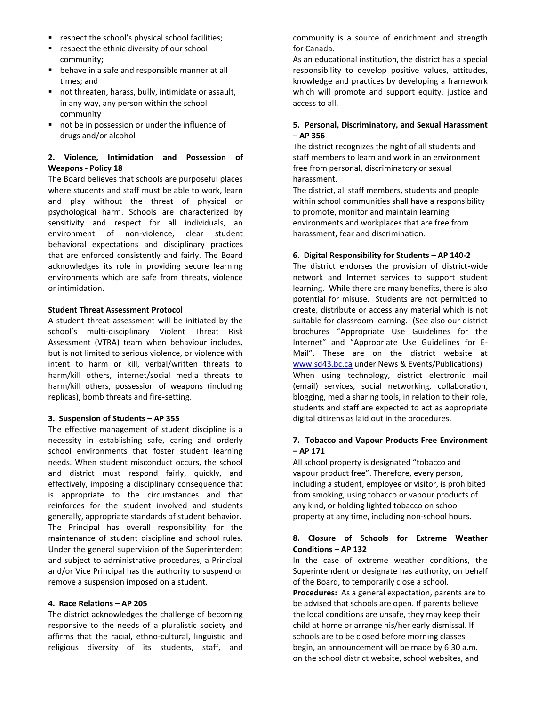- respect the school's physical school facilities;
- respect the ethnic diversity of our school community;
- behave in a safe and responsible manner at all times; and
- not threaten, harass, bully, intimidate or assault, in any way, any person within the school community
- not be in possession or under the influence of drugs and/or alcohol

## **2. Violence, Intimidation and Possession of Weapons - Policy 18**

The Board believes that schools are purposeful places where students and staff must be able to work, learn and play without the threat of physical or psychological harm. Schools are characterized by sensitivity and respect for all individuals, an environment of non-violence, clear student behavioral expectations and disciplinary practices that are enforced consistently and fairly. The Board acknowledges its role in providing secure learning environments which are safe from threats, violence or intimidation.

## **Student Threat Assessment Protocol**

A student threat assessment will be initiated by the school's multi-disciplinary Violent Threat Risk Assessment (VTRA) team when behaviour includes, but is not limited to serious violence, or violence with intent to harm or kill, verbal/written threats to harm/kill others, internet/social media threats to harm/kill others, possession of weapons (including replicas), bomb threats and fire-setting.

## **3. Suspension of Students – AP 355**

The effective management of student discipline is a necessity in establishing safe, caring and orderly school environments that foster student learning needs. When student misconduct occurs, the school and district must respond fairly, quickly, and effectively, imposing a disciplinary consequence that is appropriate to the circumstances and that reinforces for the student involved and students generally, appropriate standards of student behavior. The Principal has overall responsibility for the maintenance of student discipline and school rules. Under the general supervision of the Superintendent and subject to administrative procedures, a Principal and/or Vice Principal has the authority to suspend or remove a suspension imposed on a student.

## **4. Race Relations – AP 205**

The district acknowledges the challenge of becoming responsive to the needs of a pluralistic society and affirms that the racial, ethno-cultural, linguistic and religious diversity of its students, staff, and community is a source of enrichment and strength for Canada.

As an educational institution, the district has a special responsibility to develop positive values, attitudes, knowledge and practices by developing a framework which will promote and support equity, justice and access to all.

## **5. Personal, Discriminatory, and Sexual Harassment – AP 356**

The district recognizes the right of all students and staff members to learn and work in an environment free from personal, discriminatory or sexual harassment.

The district, all staff members, students and people within school communities shall have a responsibility to promote, monitor and maintain learning environments and workplaces that are free from harassment, fear and discrimination.

## **6. Digital Responsibility for Students – AP 140-2**

The district endorses the provision of district-wide network and Internet services to support student learning. While there are many benefits, there is also potential for misuse. Students are not permitted to create, distribute or access any material which is not suitable for classroom learning. (See also our district brochures "Appropriate Use Guidelines for the Internet" and "Appropriate Use Guidelines for E-Mail". These are on the district website at [www.sd43.bc.ca](http://www.sd43.bc.ca/) under News & Events/Publications) When using technology, district electronic mail (email) services, social networking, collaboration, blogging, media sharing tools, in relation to their role, students and staff are expected to act as appropriate digital citizens as laid out in the procedures.

## **7. Tobacco and Vapour Products Free Environment – AP 171**

All school property is designated "tobacco and vapour product free". Therefore, every person, including a student, employee or visitor, is prohibited from smoking, using tobacco or vapour products of any kind, or holding lighted tobacco on school property at any time, including non-school hours.

## **8. Closure of Schools for Extreme Weather Conditions – AP 132**

In the case of extreme weather conditions, the Superintendent or designate has authority, on behalf of the Board, to temporarily close a school.

**Procedures:** As a general expectation, parents are to be advised that schools are open. If parents believe the local conditions are unsafe, they may keep their child at home or arrange his/her early dismissal. If schools are to be closed before morning classes begin, an announcement will be made by 6:30 a.m. on the school district website, school websites, and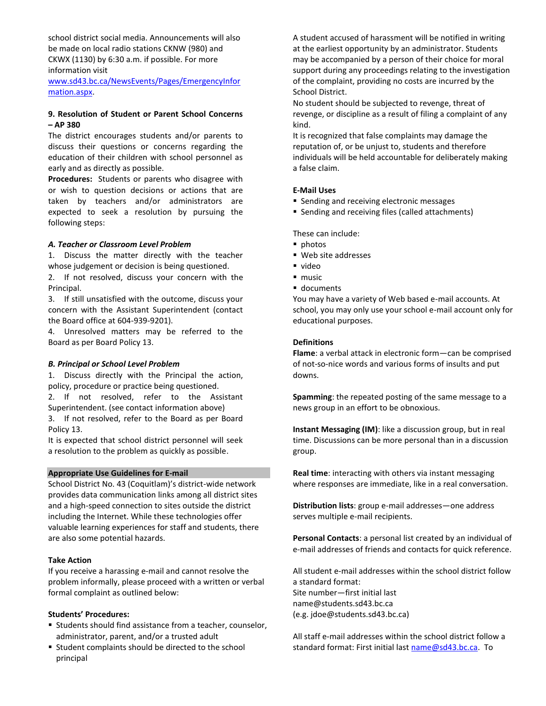school district social media. Announcements will also be made on local radio stations CKNW (980) and CKWX (1130) by 6:30 a.m. if possible. For more information visit

[www.sd43.bc.ca/NewsEvents/Pages/EmergencyInfor](http://www.sd43.bc.ca/NewsEvents/Pages/EmergencyInformation.aspx) [mation.aspx.](http://www.sd43.bc.ca/NewsEvents/Pages/EmergencyInformation.aspx)

## **9. Resolution of Student or Parent School Concerns – AP 380**

The district encourages students and/or parents to discuss their questions or concerns regarding the education of their children with school personnel as early and as directly as possible.

**Procedures:** Students or parents who disagree with or wish to question decisions or actions that are taken by teachers and/or administrators are expected to seek a resolution by pursuing the following steps:

## *A. Teacher or Classroom Level Problem*

1. Discuss the matter directly with the teacher whose judgement or decision is being questioned.

2. If not resolved, discuss your concern with the Principal.

3. If still unsatisfied with the outcome, discuss your concern with the Assistant Superintendent (contact the Board office at 604-939-9201).

4. Unresolved matters may be referred to the Board as per Board Policy 13.

#### *B. Principal or School Level Problem*

1. Discuss directly with the Principal the action, policy, procedure or practice being questioned.

2. If not resolved, refer to the Assistant Superintendent. (see contact information above)

3. If not resolved, refer to the Board as per Board Policy 13.

It is expected that school district personnel will seek a resolution to the problem as quickly as possible.

#### **Appropriate Use Guidelines for E-mail**

School District No. 43 (Coquitlam)'s district-wide network provides data communication links among all district sites and a high-speed connection to sites outside the district including the Internet. While these technologies offer valuable learning experiences for staff and students, there are also some potential hazards.

## **Take Action**

If you receive a harassing e-mail and cannot resolve the problem informally, please proceed with a written or verbal formal complaint as outlined below:

#### **Students' Procedures:**

- Students should find assistance from a teacher, counselor, administrator, parent, and/or a trusted adult
- Student complaints should be directed to the school principal

A student accused of harassment will be notified in writing at the earliest opportunity by an administrator. Students may be accompanied by a person of their choice for moral support during any proceedings relating to the investigation of the complaint, providing no costs are incurred by the School District.

No student should be subjected to revenge, threat of revenge, or discipline as a result of filing a complaint of any kind.

It is recognized that false complaints may damage the reputation of, or be unjust to, students and therefore individuals will be held accountable for deliberately making a false claim.

#### **E-Mail Uses**

- Sending and receiving electronic messages
- Sending and receiving files (called attachments)

These can include:

- photos
- Web site addresses
- video
- music
- documents

You may have a variety of Web based e-mail accounts. At school, you may only use your school e-mail account only for educational purposes.

## **Definitions**

**Flame**: a verbal attack in electronic form—can be comprised of not-so-nice words and various forms of insults and put downs.

**Spamming**: the repeated posting of the same message to a news group in an effort to be obnoxious.

**Instant Messaging (IM)**: like a discussion group, but in real time. Discussions can be more personal than in a discussion group.

**Real time**: interacting with others via instant messaging where responses are immediate, like in a real conversation.

**Distribution lists**: group e-mail addresses—one address serves multiple e-mail recipients.

**Personal Contacts**: a personal list created by an individual of e-mail addresses of friends and contacts for quick reference.

All student e-mail addresses within the school district follow a standard format: Site number—first initial last name@students.sd43.bc.ca (e.g. jdoe@students.sd43.bc.ca)

All staff e-mail addresses within the school district follow a standard format: First initial last [name@sd43.bc.ca.](mailto:name@sd43.bc.ca) To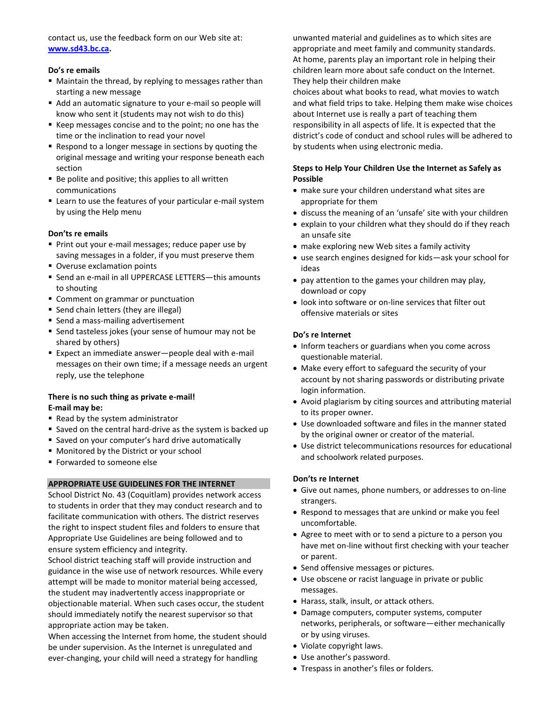contact us, use the feedback form on our Web site at: **[www.sd43.bc.ca.](http://www.sd43.bc.ca/)**

## **Do's re emails**

- Maintain the thread, by replying to messages rather than starting a new message
- Add an automatic signature to your e-mail so people will know who sent it (students may not wish to do this)
- Keep messages concise and to the point; no one has the time or the inclination to read your novel
- Respond to a longer message in sections by quoting the original message and writing your response beneath each section
- Be polite and positive; this applies to all written communications
- Learn to use the features of your particular e-mail system by using the Help menu

## **Don'ts re emails**

- Print out your e-mail messages; reduce paper use by saving messages in a folder, if you must preserve them
- Overuse exclamation points
- Send an e-mail in all UPPERCASE LETTERS—this amounts to shouting
- Comment on grammar or punctuation
- Send chain letters (they are illegal)
- Send a mass-mailing advertisement
- Send tasteless jokes (your sense of humour may not be shared by others)
- Expect an immediate answer-people deal with e-mail messages on their own time; if a message needs an urgent reply, use the telephone

## **There is no such thing as private e-mail! E-mail may be:**

- Read by the system administrator
- Saved on the central hard-drive as the system is backed up
- Saved on your computer's hard drive automatically
- Monitored by the District or your school
- Forwarded to someone else

## **APPROPRIATE USE GUIDELINES FOR THE INTERNET**

School District No. 43 (Coquitlam) provides network access to students in order that they may conduct research and to facilitate communication with others. The district reserves the right to inspect student files and folders to ensure that Appropriate Use Guidelines are being followed and to ensure system efficiency and integrity.

School district teaching staff will provide instruction and guidance in the wise use of network resources. While every attempt will be made to monitor material being accessed, the student may inadvertently access inappropriate or objectionable material. When such cases occur, the student should immediately notify the nearest supervisor so that appropriate action may be taken.

When accessing the Internet from home, the student should be under supervision. As the Internet is unregulated and ever-changing, your child will need a strategy for handling

unwanted material and guidelines as to which sites are appropriate and meet family and community standards. At home, parents play an important role in helping their children learn more about safe conduct on the Internet. They help their children make

choices about what books to read, what movies to watch and what field trips to take. Helping them make wise choices about Internet use is really a part of teaching them responsibility in all aspects of life. It is expected that the district's code of conduct and school rules will be adhered to by students when using electronic media.

## **Steps to Help Your Children Use the Internet as Safely as Possible**

- make sure your children understand what sites are appropriate for them
- discuss the meaning of an 'unsafe' site with your children
- explain to your children what they should do if they reach an unsafe site
- make exploring new Web sites a family activity
- use search engines designed for kids—ask your school for ideas
- pay attention to the games your children may play, download or copy
- look into software or on-line services that filter out offensive materials or sites

## **Do's re Internet**

- Inform teachers or guardians when you come across questionable material.
- Make every effort to safeguard the security of your account by not sharing passwords or distributing private login information.
- Avoid plagiarism by citing sources and attributing material to its proper owner.
- Use downloaded software and files in the manner stated by the original owner or creator of the material.
- Use district telecommunications resources for educational and schoolwork related purposes.

## **Don'ts re Internet**

- Give out names, phone numbers, or addresses to on-line strangers.
- Respond to messages that are unkind or make you feel uncomfortable.
- Agree to meet with or to send a picture to a person you have met on-line without first checking with your teacher or parent.
- Send offensive messages or pictures.
- Use obscene or racist language in private or public messages.
- Harass, stalk, insult, or attack others.
- Damage computers, computer systems, computer networks, peripherals, or software—either mechanically or by using viruses.
- Violate copyright laws.
- Use another's password.
- Trespass in another's files or folders.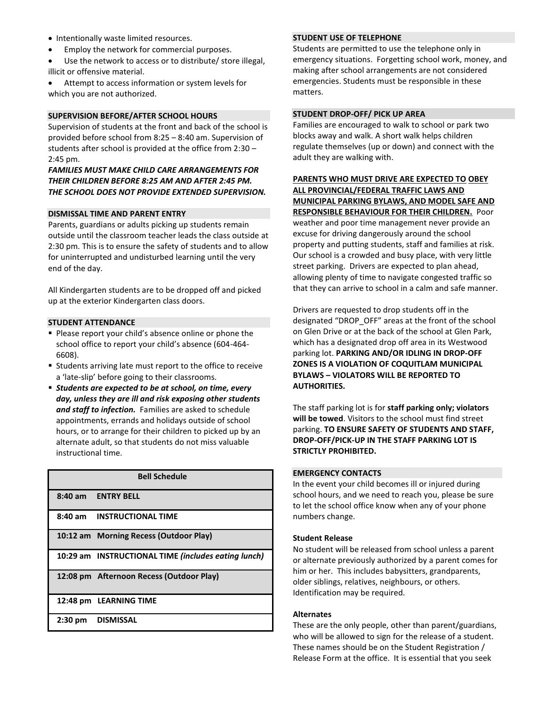- Intentionally waste limited resources.
- Employ the network for commercial purposes.
- Use the network to access or to distribute/ store illegal, illicit or offensive material.

Attempt to access information or system levels for which you are not authorized.

#### **SUPERVISION BEFORE/AFTER SCHOOL HOURS**

Supervision of students at the front and back of the school is provided before school from 8:25 – 8:40 am. Supervision of students after school is provided at the office from 2:30 – 2:45 pm.

## *FAMILIES MUST MAKE CHILD CARE ARRANGEMENTS FOR THEIR CHILDREN BEFORE 8:25 AM AND AFTER 2:45 PM. THE SCHOOL DOES NOT PROVIDE EXTENDED SUPERVISION.*

#### **DISMISSAL TIME AND PARENT ENTRY**

Parents, guardians or adults picking up students remain outside until the classroom teacher leads the class outside at 2:30 pm. This is to ensure the safety of students and to allow for uninterrupted and undisturbed learning until the very end of the day.

All Kindergarten students are to be dropped off and picked up at the exterior Kindergarten class doors.

#### **STUDENT ATTENDANCE**

- Please report your child's absence online or phone the school office to report your child's absence (604-464- 6608).
- Students arriving late must report to the office to receive a 'late-slip' before going to their classrooms.
- *Students are expected to be at school, on time, every day, unless they are ill and risk exposing other students and staff to infection.* Families are asked to schedule appointments, errands and holidays outside of school hours, or to arrange for their children to picked up by an alternate adult, so that students do not miss valuable instructional time.

| <b>Bell Schedule</b> |                                                     |
|----------------------|-----------------------------------------------------|
|                      | 8:40 am ENTRY BELL                                  |
|                      | 8:40 am INSTRUCTIONAL TIME                          |
|                      | 10:12 am Morning Recess (Outdoor Play)              |
|                      | 10:29 am INSTRUCTIONAL TIME (includes eating lunch) |
|                      | 12:08 pm Afternoon Recess (Outdoor Play)            |
|                      | 12:48 pm LEARNING TIME                              |
| $2:30 \text{ pm}$    | DISMISSAL                                           |

#### **STUDENT USE OF TELEPHONE**

Students are permitted to use the telephone only in emergency situations. Forgetting school work, money, and making after school arrangements are not considered emergencies. Students must be responsible in these matters.

## **STUDENT DROP-OFF/ PICK UP AREA**

Families are encouraged to walk to school or park two blocks away and walk. A short walk helps children regulate themselves (up or down) and connect with the adult they are walking with.

**PARENTS WHO MUST DRIVE ARE EXPECTED TO OBEY ALL PROVINCIAL/FEDERAL TRAFFIC LAWS AND MUNICIPAL PARKING BYLAWS, AND MODEL SAFE AND RESPONSIBLE BEHAVIOUR FOR THEIR CHILDREN.** Poor weather and poor time management never provide an excuse for driving dangerously around the school property and putting students, staff and families at risk. Our school is a crowded and busy place, with very little street parking. Drivers are expected to plan ahead, allowing plenty of time to navigate congested traffic so that they can arrive to school in a calm and safe manner.

Drivers are requested to drop students off in the designated "DROP\_OFF" areas at the front of the school on Glen Drive or at the back of the school at Glen Park, which has a designated drop off area in its Westwood parking lot. **PARKING AND/OR IDLING IN DROP-OFF ZONES IS A VIOLATION OF COQUITLAM MUNICIPAL BYLAWS – VIOLATORS WILL BE REPORTED TO AUTHORITIES.**

The staff parking lot is for **staff parking only; violators will be towed**. Visitors to the school must find street parking. **TO ENSURE SAFETY OF STUDENTS AND STAFF, DROP-OFF/PICK-UP IN THE STAFF PARKING LOT IS STRICTLY PROHIBITED.**

#### **EMERGENCY CONTACTS**

In the event your child becomes ill or injured during school hours, and we need to reach you, please be sure to let the school office know when any of your phone numbers change.

#### **Student Release**

No student will be released from school unless a parent or alternate previously authorized by a parent comes for him or her. This includes babysitters, grandparents, older siblings, relatives, neighbours, or others. Identification may be required.

#### **Alternates**

These are the only people, other than parent/guardians, who will be allowed to sign for the release of a student. These names should be on the Student Registration / Release Form at the office. It is essential that you seek